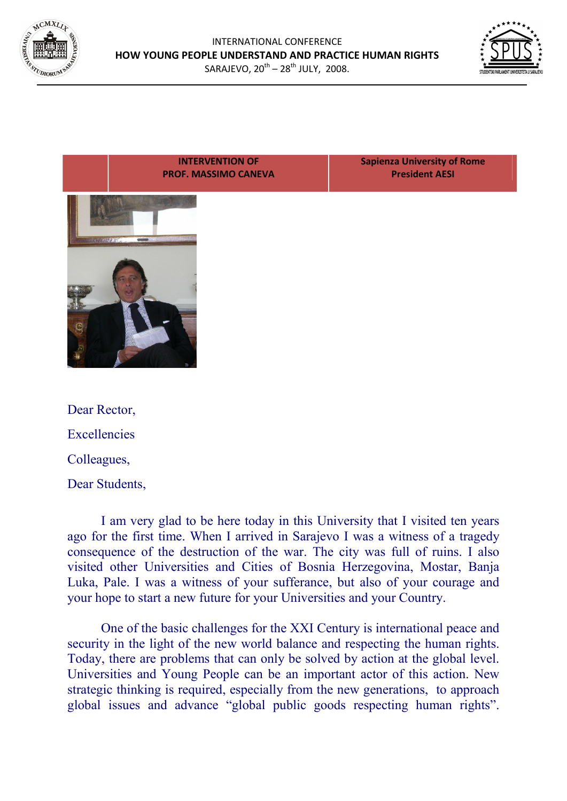





Excellencies Colleagues, Dear Students,

I am very glad to be here today in this University that I visited ten years ago for the first time. When I arrived in Sarajevo I was a witness of a tragedy consequence of the destruction of the war. The city was full of ruins. I also visited other Universities and Cities of Bosnia Herzegovina, Mostar, Banja Luka, Pale. I was a witness of your sufferance, but also of your courage and your hope to start a new future for your Universities and your Country.

One of the basic challenges for the XXI Century is international peace and security in the light of the new world balance and respecting the human rights. Today, there are problems that can only be solved by action at the global level. Universities and Young People can be an important actor of this action. New strategic thinking is required, especially from the new generations, to approach global issues and advance "global public goods respecting human rights".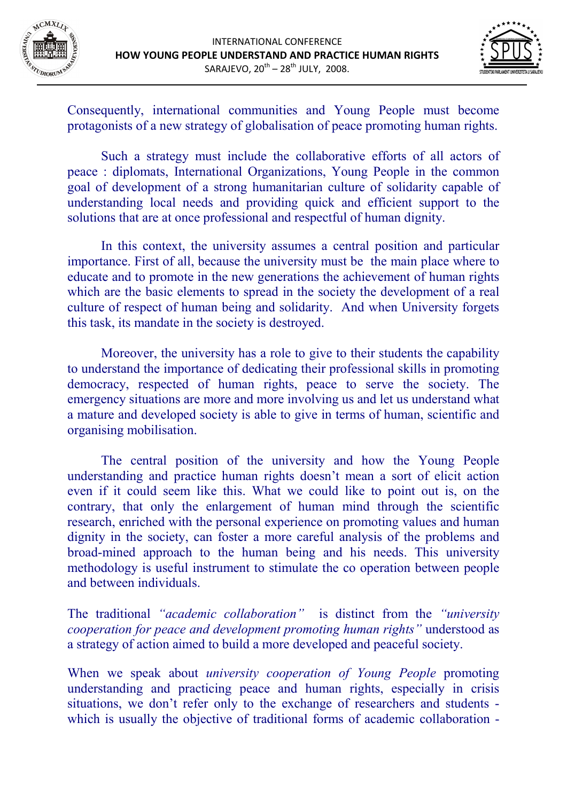



Consequently, international communities and Young People must become protagonists of a new strategy of globalisation of peace promoting human rights.

Such a strategy must include the collaborative efforts of all actors of peace : diplomats, International Organizations, Young People in the common goal of development of a strong humanitarian culture of solidarity capable of understanding local needs and providing quick and efficient support to the solutions that are at once professional and respectful of human dignity.

In this context, the university assumes a central position and particular importance. First of all, because the university must be the main place where to educate and to promote in the new generations the achievement of human rights which are the basic elements to spread in the society the development of a real culture of respect of human being and solidarity. And when University forgets this task, its mandate in the society is destroyed.

Moreover, the university has a role to give to their students the capability to understand the importance of dedicating their professional skills in promoting democracy, respected of human rights, peace to serve the society. The emergency situations are more and more involving us and let us understand what a mature and developed society is able to give in terms of human, scientific and organising mobilisation.

The central position of the university and how the Young People understanding and practice human rights doesn't mean a sort of elicit action even if it could seem like this. What we could like to point out is, on the contrary, that only the enlargement of human mind through the scientific research, enriched with the personal experience on promoting values and human dignity in the society, can foster a more careful analysis of the problems and broad-mined approach to the human being and his needs. This university methodology is useful instrument to stimulate the co operation between people and between individuals.

The traditional *"academic collaboration"* is distinct from the *"university cooperation for peace and development promoting human rights"* understood as a strategy of action aimed to build a more developed and peaceful society.

When we speak about *university cooperation of Young People* promoting understanding and practicing peace and human rights, especially in crisis situations, we don't refer only to the exchange of researchers and students which is usually the objective of traditional forms of academic collaboration -